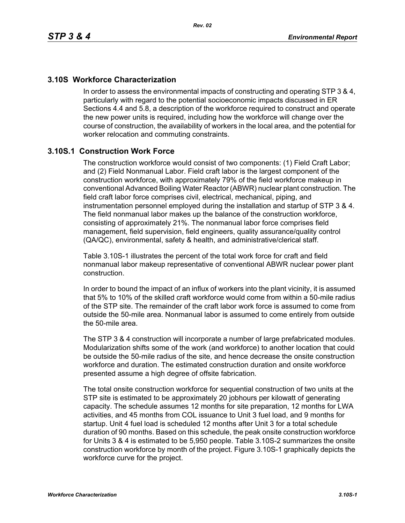### **3.10S Workforce Characterization**

In order to assess the environmental impacts of constructing and operating STP 3 & 4, particularly with regard to the potential socioeconomic impacts discussed in ER Sections 4.4 and 5.8, a description of the workforce required to construct and operate the new power units is required, including how the workforce will change over the course of construction, the availability of workers in the local area, and the potential for worker relocation and commuting constraints.

## **3.10S.1 Construction Work Force**

The construction workforce would consist of two components: (1) Field Craft Labor; and (2) Field Nonmanual Labor. Field craft labor is the largest component of the construction workforce, with approximately 79% of the field workforce makeup in conventional Advanced Boiling Water Reactor (ABWR) nuclear plant construction. The field craft labor force comprises civil, electrical, mechanical, piping, and instrumentation personnel employed during the installation and startup of STP 3 & 4. The field nonmanual labor makes up the balance of the construction workforce, consisting of approximately 21%. The nonmanual labor force comprises field management, field supervision, field engineers, quality assurance/quality control (QA/QC), environmental, safety & health, and administrative/clerical staff.

Table 3.10S-1 illustrates the percent of the total work force for craft and field nonmanual labor makeup representative of conventional ABWR nuclear power plant construction.

In order to bound the impact of an influx of workers into the plant vicinity, it is assumed that 5% to 10% of the skilled craft workforce would come from within a 50-mile radius of the STP site. The remainder of the craft labor work force is assumed to come from outside the 50-mile area. Nonmanual labor is assumed to come entirely from outside the 50-mile area.

The STP 3 & 4 construction will incorporate a number of large prefabricated modules. Modularization shifts some of the work (and workforce) to another location that could be outside the 50-mile radius of the site, and hence decrease the onsite construction workforce and duration. The estimated construction duration and onsite workforce presented assume a high degree of offsite fabrication.

The total onsite construction workforce for sequential construction of two units at the STP site is estimated to be approximately 20 jobhours per kilowatt of generating capacity. The schedule assumes 12 months for site preparation, 12 months for LWA activities, and 45 months from COL issuance to Unit 3 fuel load, and 9 months for startup. Unit 4 fuel load is scheduled 12 months after Unit 3 for a total schedule duration of 90 months. Based on this schedule, the peak onsite construction workforce for Units 3 & 4 is estimated to be 5,950 people. Table 3.10S-2 summarizes the onsite construction workforce by month of the project. Figure 3.10S-1 graphically depicts the workforce curve for the project.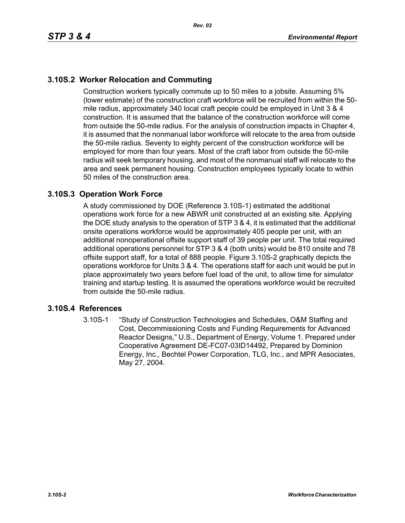# **3.10S.2 Worker Relocation and Commuting**

Construction workers typically commute up to 50 miles to a jobsite. Assuming 5% (lower estimate) of the construction craft workforce will be recruited from within the 50 mile radius, approximately 340 local craft people could be employed in Unit 3 & 4 construction. It is assumed that the balance of the construction workforce will come from outside the 50-mile radius. For the analysis of construction impacts in Chapter 4, it is assumed that the nonmanual labor workforce will relocate to the area from outside the 50-mile radius. Seventy to eighty percent of the construction workforce will be employed for more than four years. Most of the craft labor from outside the 50-mile radius will seek temporary housing, and most of the nonmanual staff will relocate to the area and seek permanent housing. Construction employees typically locate to within 50 miles of the construction area.

#### **3.10S.3 Operation Work Force**

A study commissioned by DOE (Reference 3.10S-1) estimated the additional operations work force for a new ABWR unit constructed at an existing site. Applying the DOE study analysis to the operation of STP 3 & 4, it is estimated that the additional onsite operations workforce would be approximately 405 people per unit, with an additional nonoperational offsite support staff of 39 people per unit. The total required additional operations personnel for STP 3 & 4 (both units) would be 810 onsite and 78 offsite support staff, for a total of 888 people. Figure 3.10S-2 graphically depicts the operations workforce for Units 3 & 4. The operations staff for each unit would be put in place approximately two years before fuel load of the unit, to allow time for simulator training and startup testing. It is assumed the operations workforce would be recruited from outside the 50-mile radius.

#### **3.10S.4 References**

3.10S-1 "Study of Construction Technologies and Schedules, O&M Staffing and Cost, Decommissioning Costs and Funding Requirements for Advanced Reactor Designs," U.S., Department of Energy, Volume 1. Prepared under Cooperative Agreement DE-FC07-03ID14492, Prepared by Dominion Energy, Inc., Bechtel Power Corporation, TLG, Inc., and MPR Associates, May 27, 2004.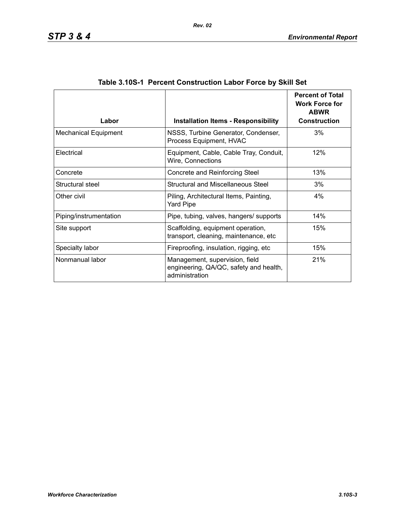| Labor                       | <b>Installation Items - Responsibility</b>                                                 | <b>Percent of Total</b><br><b>Work Force for</b><br><b>ABWR</b><br><b>Construction</b> |
|-----------------------------|--------------------------------------------------------------------------------------------|----------------------------------------------------------------------------------------|
| <b>Mechanical Equipment</b> | NSSS, Turbine Generator, Condenser,<br>Process Equipment, HVAC                             | 3%                                                                                     |
| Electrical                  | Equipment, Cable, Cable Tray, Conduit,<br>Wire, Connections                                | 12%                                                                                    |
| Concrete                    | Concrete and Reinforcing Steel                                                             | 13%                                                                                    |
| Structural steel            | Structural and Miscellaneous Steel                                                         | 3%                                                                                     |
| Other civil                 | Piling, Architectural Items, Painting,<br><b>Yard Pipe</b>                                 | 4%                                                                                     |
| Piping/instrumentation      | Pipe, tubing, valves, hangers/ supports                                                    | 14%                                                                                    |
| Site support                | Scaffolding, equipment operation,<br>transport, cleaning, maintenance, etc                 | 15%                                                                                    |
| Specialty labor             | Fireproofing, insulation, rigging, etc                                                     | 15%                                                                                    |
| Nonmanual labor             | Management, supervision, field<br>engineering, QA/QC, safety and health,<br>administration | 21%                                                                                    |

| Table 3.10S-1 Percent Construction Labor Force by Skill Set |  |  |  |  |
|-------------------------------------------------------------|--|--|--|--|
|                                                             |  |  |  |  |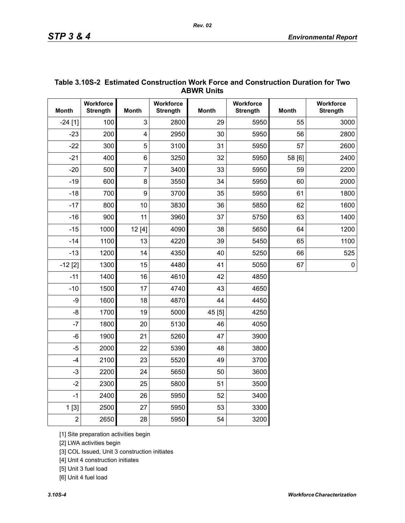| <b>ABWR UNITS</b> |                                     |                         |                              |              |                              |              |                              |  |
|-------------------|-------------------------------------|-------------------------|------------------------------|--------------|------------------------------|--------------|------------------------------|--|
| <b>Month</b>      | <b>Workforce</b><br><b>Strength</b> | <b>Month</b>            | Workforce<br><b>Strength</b> | <b>Month</b> | Workforce<br><b>Strength</b> | <b>Month</b> | Workforce<br><b>Strength</b> |  |
| $-24[1]$          | 100                                 | 3                       | 2800                         | 29           | 5950                         | 55           | 3000                         |  |
| $-23$             | 200                                 | $\overline{\mathbf{4}}$ | 2950                         | 30           | 5950                         | 56           | 2800                         |  |
| $-22$             | 300                                 | 5                       | 3100                         | 31           | 5950                         | 57           | 2600                         |  |
| $-21$             | 400                                 | 6                       | 3250                         | 32           | 5950                         | 58 [6]       | 2400                         |  |
| $-20$             | 500                                 | $\overline{7}$          | 3400                         | 33           | 5950                         | 59           | 2200                         |  |
| $-19$             | 600                                 | 8                       | 3550                         | 34           | 5950                         | 60           | 2000                         |  |
| $-18$             | 700                                 | 9                       | 3700                         | 35           | 5950                         | 61           | 1800                         |  |
| $-17$             | 800                                 | 10                      | 3830                         | 36           | 5850                         | 62           | 1600                         |  |
| $-16$             | 900                                 | 11                      | 3960                         | 37           | 5750                         | 63           | 1400                         |  |
| $-15$             | 1000                                | 12[4]                   | 4090                         | 38           | 5650                         | 64           | 1200                         |  |
| $-14$             | 1100                                | 13                      | 4220                         | 39           | 5450                         | 65           | 1100                         |  |
| $-13$             | 1200                                | 14                      | 4350                         | 40           | 5250                         | 66           | 525                          |  |
| $-12$ [2]         | 1300                                | 15                      | 4480                         | 41           | 5050                         | 67           | $\pmb{0}$                    |  |
| $-11$             | 1400                                | 16                      | 4610                         | 42           | 4850                         |              |                              |  |
| $-10$             | 1500                                | 17                      | 4740                         | 43           | 4650                         |              |                              |  |
| -9                | 1600                                | 18                      | 4870                         | 44           | 4450                         |              |                              |  |
| $-8$              | 1700                                | 19                      | 5000                         | 45 [5]       | 4250                         |              |                              |  |
| $-7$              | 1800                                | 20                      | 5130                         | 46           | 4050                         |              |                              |  |
| $-6$              | 1900                                | 21                      | 5260                         | 47           | 3900                         |              |                              |  |
| $-5$              | 2000                                | 22                      | 5390                         | 48           | 3800                         |              |                              |  |
| $-4$              | 2100                                | 23                      | 5520                         | 49           | 3700                         |              |                              |  |
| $-3$              | 2200                                | 24                      | 5650                         | 50           | 3600                         |              |                              |  |
| $-2$              | 2300                                | 25                      | 5800                         | 51           | 3500                         |              |                              |  |
| $-1$              | 2400                                | 26                      | 5950                         | 52           | 3400                         |              |                              |  |
| 1[3]              | 2500                                | 27                      | 5950                         | 53           | 3300                         |              |                              |  |
| $\overline{2}$    | 2650                                | 28                      | 5950                         | 54           | 3200                         |              |                              |  |

#### **Table 3.10S-2 Estimated Construction Work Force and Construction Duration for Two ABWR Units**

[1] Site preparation activities begin

[2] LWA activities begin

[3] COL Issued, Unit 3 construction initiates

[4] Unit 4 construction initiates

[5] Unit 3 fuel load

[6] Unit 4 fuel load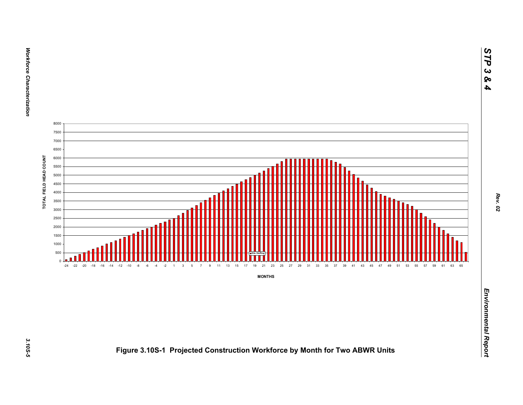

**Workforce Characterization**